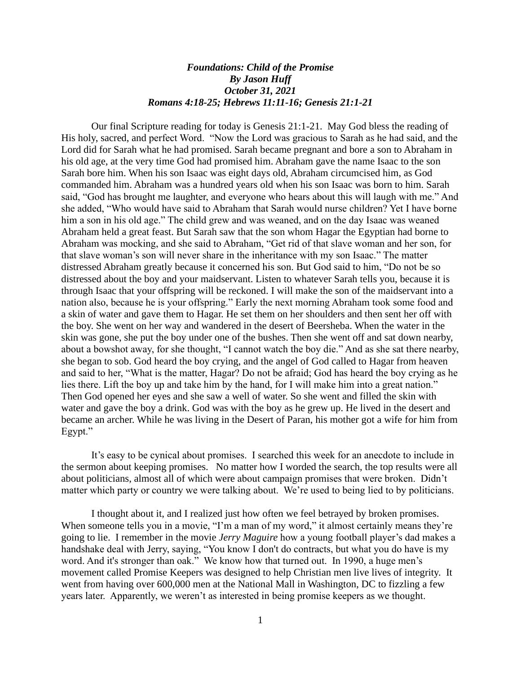## *Foundations: Child of the Promise By Jason Huff October 31, 2021 Romans 4:18-25; Hebrews 11:11-16; Genesis 21:1-21*

Our final Scripture reading for today is Genesis 21:1-21. May God bless the reading of His holy, sacred, and perfect Word. "Now the Lord was gracious to Sarah as he had said, and the Lord did for Sarah what he had promised. Sarah became pregnant and bore a son to Abraham in his old age, at the very time God had promised him. Abraham gave the name Isaac to the son Sarah bore him. When his son Isaac was eight days old, Abraham circumcised him, as God commanded him. Abraham was a hundred years old when his son Isaac was born to him. Sarah said, "God has brought me laughter, and everyone who hears about this will laugh with me." And she added, "Who would have said to Abraham that Sarah would nurse children? Yet I have borne him a son in his old age." The child grew and was weaned, and on the day Isaac was weaned Abraham held a great feast. But Sarah saw that the son whom Hagar the Egyptian had borne to Abraham was mocking, and she said to Abraham, "Get rid of that slave woman and her son, for that slave woman's son will never share in the inheritance with my son Isaac." The matter distressed Abraham greatly because it concerned his son. But God said to him, "Do not be so distressed about the boy and your maidservant. Listen to whatever Sarah tells you, because it is through Isaac that your offspring will be reckoned. I will make the son of the maidservant into a nation also, because he is your offspring." Early the next morning Abraham took some food and a skin of water and gave them to Hagar. He set them on her shoulders and then sent her off with the boy. She went on her way and wandered in the desert of Beersheba. When the water in the skin was gone, she put the boy under one of the bushes. Then she went off and sat down nearby, about a bowshot away, for she thought, "I cannot watch the boy die." And as she sat there nearby, she began to sob. God heard the boy crying, and the angel of God called to Hagar from heaven and said to her, "What is the matter, Hagar? Do not be afraid; God has heard the boy crying as he lies there. Lift the boy up and take him by the hand, for I will make him into a great nation." Then God opened her eyes and she saw a well of water. So she went and filled the skin with water and gave the boy a drink. God was with the boy as he grew up. He lived in the desert and became an archer. While he was living in the Desert of Paran, his mother got a wife for him from Egypt."

It's easy to be cynical about promises. I searched this week for an anecdote to include in the sermon about keeping promises. No matter how I worded the search, the top results were all about politicians, almost all of which were about campaign promises that were broken. Didn't matter which party or country we were talking about. We're used to being lied to by politicians.

I thought about it, and I realized just how often we feel betrayed by broken promises. When someone tells you in a movie, "I'm a man of my word," it almost certainly means they're going to lie. I remember in the movie *Jerry Maguire* how a young football player's dad makes a handshake deal with Jerry, saying, "You know I don't do contracts, but what you do have is my word. And it's stronger than oak." We know how that turned out. In 1990, a huge men's movement called Promise Keepers was designed to help Christian men live lives of integrity. It went from having over 600,000 men at the National Mall in Washington, DC to fizzling a few years later. Apparently, we weren't as interested in being promise keepers as we thought.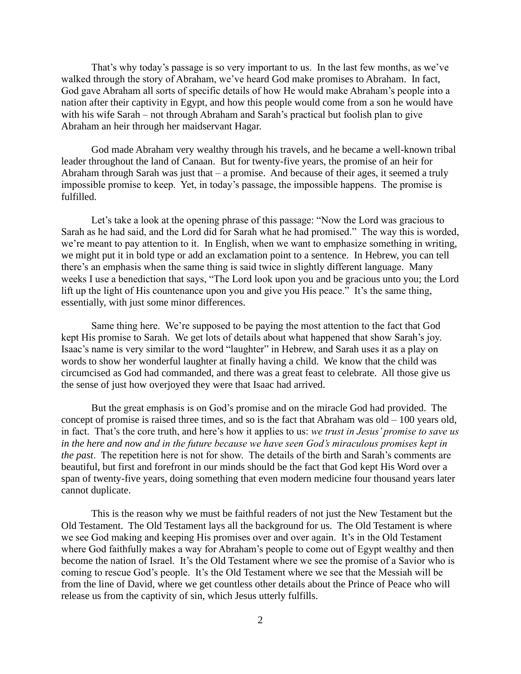That's why today's passage is so very important to us. In the last few months, as we've walked through the story of Abraham, we've heard God make promises to Abraham. In fact, God gave Abraham all sorts of specific details of how He would make Abraham's people into a nation after their captivity in Egypt, and how this people would come from a son he would have with his wife Sarah – not through Abraham and Sarah's practical but foolish plan to give Abraham an heir through her maidservant Hagar.

God made Abraham very wealthy through his travels, and he became a well-known tribal leader throughout the land of Canaan. But for twenty-five years, the promise of an heir for Abraham through Sarah was just that – a promise. And because of their ages, it seemed a truly impossible promise to keep. Yet, in today's passage, the impossible happens. The promise is fulfilled.

Let's take a look at the opening phrase of this passage: "Now the Lord was gracious to Sarah as he had said, and the Lord did for Sarah what he had promised." The way this is worded, we're meant to pay attention to it. In English, when we want to emphasize something in writing, we might put it in bold type or add an exclamation point to a sentence. In Hebrew, you can tell there's an emphasis when the same thing is said twice in slightly different language. Many weeks I use a benediction that says, "The Lord look upon you and be gracious unto you; the Lord lift up the light of His countenance upon you and give you His peace." It's the same thing, essentially, with just some minor differences.

Same thing here. We're supposed to be paying the most attention to the fact that God kept His promise to Sarah. We get lots of details about what happened that show Sarah's joy. Isaac's name is very similar to the word "laughter" in Hebrew, and Sarah uses it as a play on words to show her wonderful laughter at finally having a child. We know that the child was circumcised as God had commanded, and there was a great feast to celebrate. All those give us the sense of just how overjoyed they were that Isaac had arrived.

But the great emphasis is on God's promise and on the miracle God had provided. The concept of promise is raised three times, and so is the fact that Abraham was  $old - 100$  years old, in fact. That's the core truth, and here's how it applies to us: *we trust in Jesus' promise to save us in the here and now and in the future because we have seen God's miraculous promises kept in the past*. The repetition here is not for show. The details of the birth and Sarah's comments are beautiful, but first and forefront in our minds should be the fact that God kept His Word over a span of twenty-five years, doing something that even modern medicine four thousand years later cannot duplicate.

This is the reason why we must be faithful readers of not just the New Testament but the Old Testament. The Old Testament lays all the background for us. The Old Testament is where we see God making and keeping His promises over and over again. It's in the Old Testament where God faithfully makes a way for Abraham's people to come out of Egypt wealthy and then become the nation of Israel. It's the Old Testament where we see the promise of a Savior who is coming to rescue God's people. It's the Old Testament where we see that the Messiah will be from the line of David, where we get countless other details about the Prince of Peace who will release us from the captivity of sin, which Jesus utterly fulfills.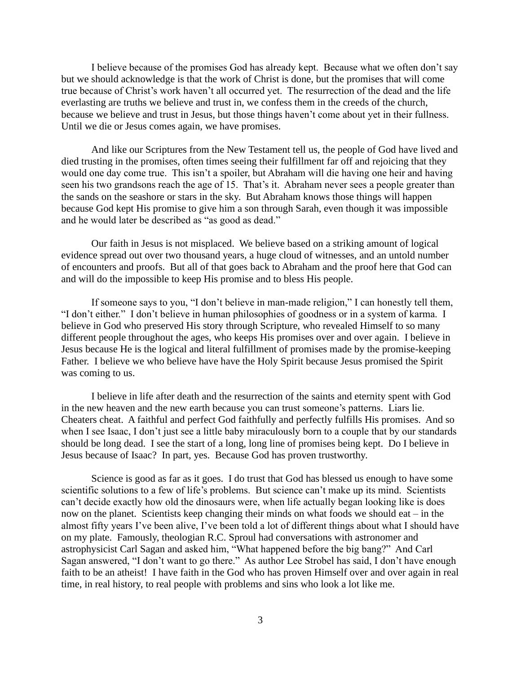I believe because of the promises God has already kept. Because what we often don't say but we should acknowledge is that the work of Christ is done, but the promises that will come true because of Christ's work haven't all occurred yet. The resurrection of the dead and the life everlasting are truths we believe and trust in, we confess them in the creeds of the church, because we believe and trust in Jesus, but those things haven't come about yet in their fullness. Until we die or Jesus comes again, we have promises.

And like our Scriptures from the New Testament tell us, the people of God have lived and died trusting in the promises, often times seeing their fulfillment far off and rejoicing that they would one day come true. This isn't a spoiler, but Abraham will die having one heir and having seen his two grandsons reach the age of 15. That's it. Abraham never sees a people greater than the sands on the seashore or stars in the sky. But Abraham knows those things will happen because God kept His promise to give him a son through Sarah, even though it was impossible and he would later be described as "as good as dead."

Our faith in Jesus is not misplaced. We believe based on a striking amount of logical evidence spread out over two thousand years, a huge cloud of witnesses, and an untold number of encounters and proofs. But all of that goes back to Abraham and the proof here that God can and will do the impossible to keep His promise and to bless His people.

If someone says to you, "I don't believe in man-made religion," I can honestly tell them, "I don't either." I don't believe in human philosophies of goodness or in a system of karma. I believe in God who preserved His story through Scripture, who revealed Himself to so many different people throughout the ages, who keeps His promises over and over again. I believe in Jesus because He is the logical and literal fulfillment of promises made by the promise-keeping Father. I believe we who believe have have the Holy Spirit because Jesus promised the Spirit was coming to us.

I believe in life after death and the resurrection of the saints and eternity spent with God in the new heaven and the new earth because you can trust someone's patterns. Liars lie. Cheaters cheat. A faithful and perfect God faithfully and perfectly fulfills His promises. And so when I see Isaac, I don't just see a little baby miraculously born to a couple that by our standards should be long dead. I see the start of a long, long line of promises being kept. Do I believe in Jesus because of Isaac? In part, yes. Because God has proven trustworthy.

Science is good as far as it goes. I do trust that God has blessed us enough to have some scientific solutions to a few of life's problems. But science can't make up its mind. Scientists can't decide exactly how old the dinosaurs were, when life actually began looking like is does now on the planet. Scientists keep changing their minds on what foods we should eat – in the almost fifty years I've been alive, I've been told a lot of different things about what I should have on my plate. Famously, theologian R.C. Sproul had conversations with astronomer and astrophysicist Carl Sagan and asked him, "What happened before the big bang?" And Carl Sagan answered, "I don't want to go there." As author Lee Strobel has said, I don't have enough faith to be an atheist! I have faith in the God who has proven Himself over and over again in real time, in real history, to real people with problems and sins who look a lot like me.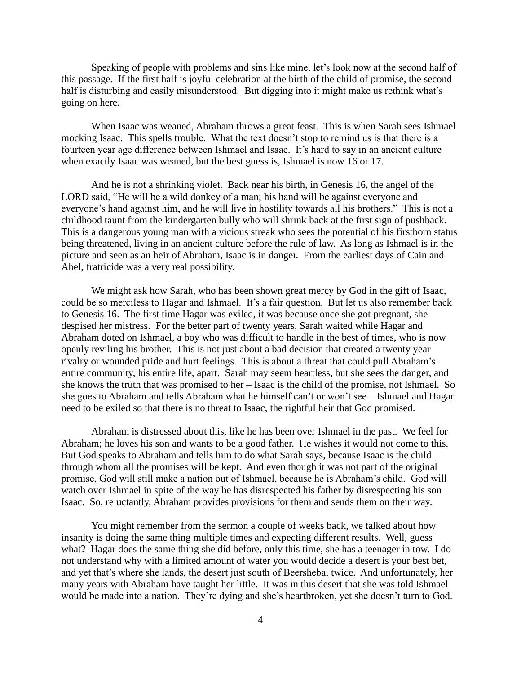Speaking of people with problems and sins like mine, let's look now at the second half of this passage. If the first half is joyful celebration at the birth of the child of promise, the second half is disturbing and easily misunderstood. But digging into it might make us rethink what's going on here.

When Isaac was weaned, Abraham throws a great feast. This is when Sarah sees Ishmael mocking Isaac. This spells trouble. What the text doesn't stop to remind us is that there is a fourteen year age difference between Ishmael and Isaac. It's hard to say in an ancient culture when exactly Isaac was weaned, but the best guess is, Ishmael is now 16 or 17.

And he is not a shrinking violet. Back near his birth, in Genesis 16, the angel of the LORD said, "He will be a wild donkey of a man; his hand will be against everyone and everyone's hand against him, and he will live in hostility towards all his brothers." This is not a childhood taunt from the kindergarten bully who will shrink back at the first sign of pushback. This is a dangerous young man with a vicious streak who sees the potential of his firstborn status being threatened, living in an ancient culture before the rule of law. As long as Ishmael is in the picture and seen as an heir of Abraham, Isaac is in danger. From the earliest days of Cain and Abel, fratricide was a very real possibility.

We might ask how Sarah, who has been shown great mercy by God in the gift of Isaac, could be so merciless to Hagar and Ishmael. It's a fair question. But let us also remember back to Genesis 16. The first time Hagar was exiled, it was because once she got pregnant, she despised her mistress. For the better part of twenty years, Sarah waited while Hagar and Abraham doted on Ishmael, a boy who was difficult to handle in the best of times, who is now openly reviling his brother. This is not just about a bad decision that created a twenty year rivalry or wounded pride and hurt feelings. This is about a threat that could pull Abraham's entire community, his entire life, apart. Sarah may seem heartless, but she sees the danger, and she knows the truth that was promised to her – Isaac is the child of the promise, not Ishmael. So she goes to Abraham and tells Abraham what he himself can't or won't see – Ishmael and Hagar need to be exiled so that there is no threat to Isaac, the rightful heir that God promised.

Abraham is distressed about this, like he has been over Ishmael in the past. We feel for Abraham; he loves his son and wants to be a good father. He wishes it would not come to this. But God speaks to Abraham and tells him to do what Sarah says, because Isaac is the child through whom all the promises will be kept. And even though it was not part of the original promise, God will still make a nation out of Ishmael, because he is Abraham's child. God will watch over Ishmael in spite of the way he has disrespected his father by disrespecting his son Isaac. So, reluctantly, Abraham provides provisions for them and sends them on their way.

You might remember from the sermon a couple of weeks back, we talked about how insanity is doing the same thing multiple times and expecting different results. Well, guess what? Hagar does the same thing she did before, only this time, she has a teenager in tow. I do not understand why with a limited amount of water you would decide a desert is your best bet, and yet that's where she lands, the desert just south of Beersheba, twice. And unfortunately, her many years with Abraham have taught her little. It was in this desert that she was told Ishmael would be made into a nation. They're dying and she's heartbroken, yet she doesn't turn to God.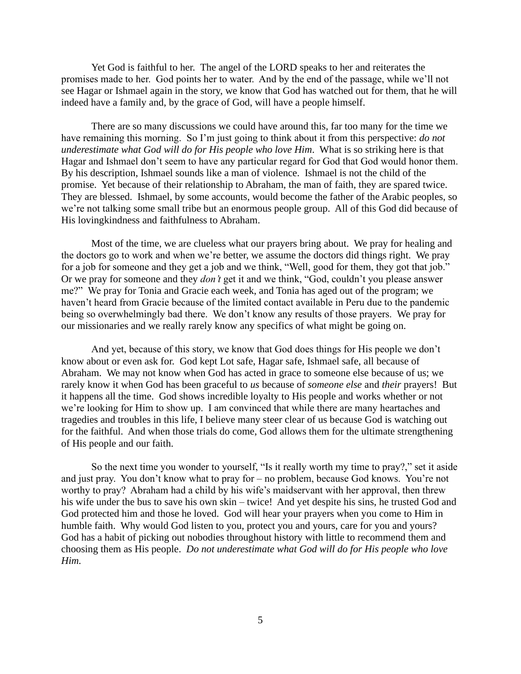Yet God is faithful to her. The angel of the LORD speaks to her and reiterates the promises made to her. God points her to water. And by the end of the passage, while we'll not see Hagar or Ishmael again in the story, we know that God has watched out for them, that he will indeed have a family and, by the grace of God, will have a people himself.

There are so many discussions we could have around this, far too many for the time we have remaining this morning. So I'm just going to think about it from this perspective: *do not underestimate what God will do for His people who love Him*. What is so striking here is that Hagar and Ishmael don't seem to have any particular regard for God that God would honor them. By his description, Ishmael sounds like a man of violence. Ishmael is not the child of the promise. Yet because of their relationship to Abraham, the man of faith, they are spared twice. They are blessed. Ishmael, by some accounts, would become the father of the Arabic peoples, so we're not talking some small tribe but an enormous people group. All of this God did because of His lovingkindness and faithfulness to Abraham.

Most of the time, we are clueless what our prayers bring about. We pray for healing and the doctors go to work and when we're better, we assume the doctors did things right. We pray for a job for someone and they get a job and we think, "Well, good for them, they got that job." Or we pray for someone and they *don't* get it and we think, "God, couldn't you please answer me?" We pray for Tonia and Gracie each week, and Tonia has aged out of the program; we haven't heard from Gracie because of the limited contact available in Peru due to the pandemic being so overwhelmingly bad there. We don't know any results of those prayers. We pray for our missionaries and we really rarely know any specifics of what might be going on.

And yet, because of this story, we know that God does things for His people we don't know about or even ask for. God kept Lot safe, Hagar safe, Ishmael safe, all because of Abraham. We may not know when God has acted in grace to someone else because of us; we rarely know it when God has been graceful to *us* because of *someone else* and *their* prayers! But it happens all the time. God shows incredible loyalty to His people and works whether or not we're looking for Him to show up. I am convinced that while there are many heartaches and tragedies and troubles in this life, I believe many steer clear of us because God is watching out for the faithful. And when those trials do come, God allows them for the ultimate strengthening of His people and our faith.

So the next time you wonder to yourself, "Is it really worth my time to pray?," set it aside and just pray. You don't know what to pray for – no problem, because God knows. You're not worthy to pray? Abraham had a child by his wife's maidservant with her approval, then threw his wife under the bus to save his own skin – twice! And yet despite his sins, he trusted God and God protected him and those he loved. God will hear your prayers when you come to Him in humble faith. Why would God listen to you, protect you and yours, care for you and yours? God has a habit of picking out nobodies throughout history with little to recommend them and choosing them as His people. *Do not underestimate what God will do for His people who love Him.*